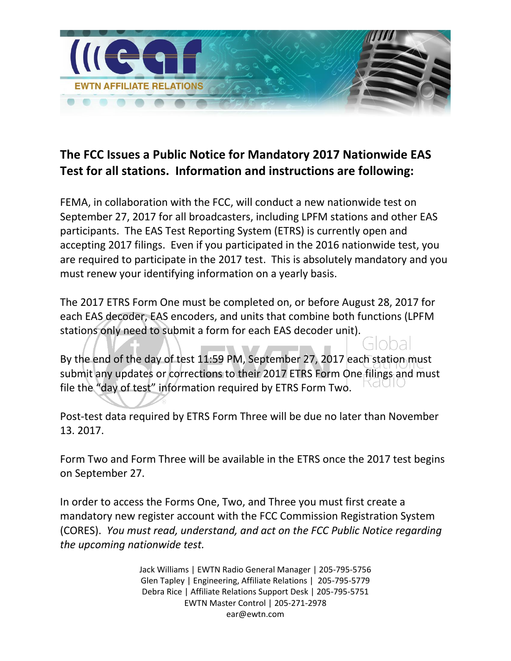

## **The FCC Issues a Public Notice for Mandatory 2017 Nationwide EAS Test for all stations. Information and instructions are following:**

FEMA, in collaboration with the FCC, will conduct a new nationwide test on September 27, 2017 for all broadcasters, including LPFM stations and other EAS participants. The EAS Test Reporting System (ETRS) is currently open and accepting 2017 filings. Even if you participated in the 2016 nationwide test, you are required to participate in the 2017 test. This is absolutely mandatory and you must renew your identifying information on a yearly basis.

The 2017 ETRS Form One must be completed on, or before August 28, 2017 for each EAS decoder, EAS encoders, and units that combine both functions (LPFM stations only need to submit a form for each EAS decoder unit).

By the end of the day of test 11:59 PM, September 27, 2017 each station must submit any updates or corrections to their 2017 ETRS Form One filings and must file the "day of test" information required by ETRS Form Two.

Post-test data required by ETRS Form Three will be due no later than November 13. 2017.

Form Two and Form Three will be available in the ETRS once the 2017 test begins on September 27.

In order to access the Forms One, Two, and Three you must first create a mandatory new register account with the FCC Commission Registration System (CORES). *You must read, understand, and act on the FCC Public Notice regarding the upcoming nationwide test.* 

> Jack Williams | EWTN Radio General Manager | 205-795-5756 Glen Tapley | Engineering, Affiliate Relations | 205-795-5779 Debra Rice | Affiliate Relations Support Desk | 205-795-5751 EWTN Master Control | 205-271-2978 ear@ewtn.com